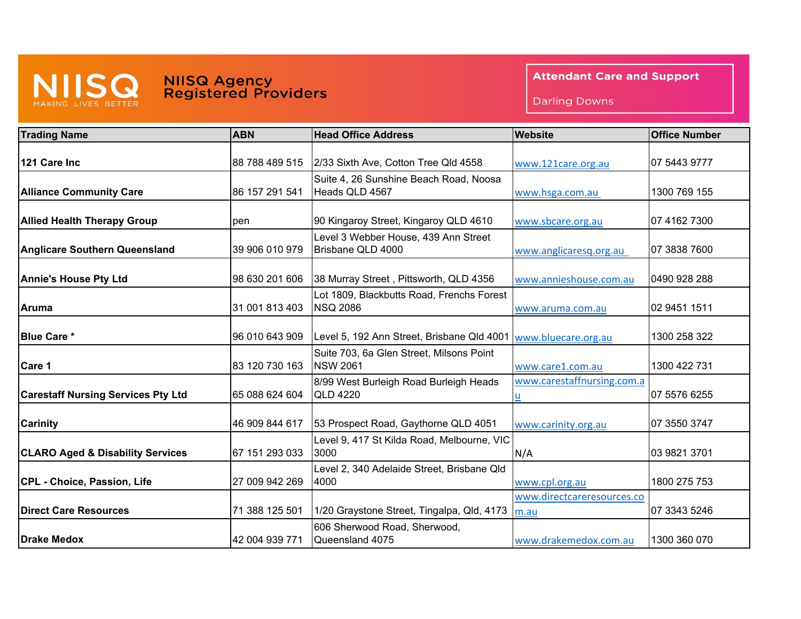

## **NIISQ Agency<br>Registered Providers**

**Attendant Care and Support** 

**Darling Downs** 

| <b>Trading Name</b>                         | <b>ABN</b>     | <b>Head Office Address</b>                                   | <b>Website</b>                     | <b>Office Number</b> |
|---------------------------------------------|----------------|--------------------------------------------------------------|------------------------------------|----------------------|
| 121 Care Inc                                | 88 788 489 515 | 2/33 Sixth Ave, Cotton Tree Qld 4558                         | www.121care.org.au                 | 07 5443 9777         |
| <b>Alliance Community Care</b>              | 86 157 291 541 | Suite 4, 26 Sunshine Beach Road, Noosa<br>Heads QLD 4567     | www.hsga.com.au                    | 1300 769 155         |
| <b>Allied Health Therapy Group</b>          | pen            | 90 Kingaroy Street, Kingaroy QLD 4610                        | www.sbcare.org.au                  | 07 4162 7300         |
| <b>Anglicare Southern Queensland</b>        | 39 906 010 979 | Level 3 Webber House, 439 Ann Street<br>Brisbane QLD 4000    | www.anglicaresq.org.au             | 07 3838 7600         |
| <b>Annie's House Pty Ltd</b>                | 98 630 201 606 | 38 Murray Street, Pittsworth, QLD 4356                       | www.annieshouse.com.au             | 0490 928 288         |
| <b>Aruma</b>                                | 31 001 813 403 | Lot 1809, Blackbutts Road, Frenchs Forest<br><b>NSQ 2086</b> | www.aruma.com.au                   | 02 9451 1511         |
| <b>Blue Care *</b>                          | 96 010 643 909 | Level 5, 192 Ann Street, Brisbane Qld 4001                   | www.bluecare.org.au                | 1300 258 322         |
| Care 1                                      | 83 120 730 163 | Suite 703, 6a Glen Street, Milsons Point<br><b>NSW 2061</b>  | www.care1.com.au                   | 1300 422 731         |
| <b>Carestaff Nursing Services Pty Ltd</b>   | 65 088 624 604 | 8/99 West Burleigh Road Burleigh Heads<br><b>QLD 4220</b>    | www.carestaffnursing.com.a         | 07 5576 6255         |
| <b>Carinity</b>                             | 46 909 844 617 | 53 Prospect Road, Gaythorne QLD 4051                         | www.carinity.org.au                | 07 3550 3747         |
| <b>CLARO Aged &amp; Disability Services</b> | 67 151 293 033 | Level 9, 417 St Kilda Road, Melbourne, VIC<br>3000           | N/A                                | 03 9821 3701         |
| <b>CPL - Choice, Passion, Life</b>          | 27 009 942 269 | Level 2, 340 Adelaide Street, Brisbane Qld<br>4000           | www.cpl.org.au                     | 1800 275 753         |
| <b>Direct Care Resources</b>                | 71 388 125 501 | 1/20 Graystone Street, Tingalpa, Qld, 4173                   | www.directcareresources.co<br>m.au | 07 3343 5246         |
| Drake Medox                                 | 42 004 939 771 | 606 Sherwood Road, Sherwood,<br>Queensland 4075              | www.drakemedox.com.au              | 1300 360 070         |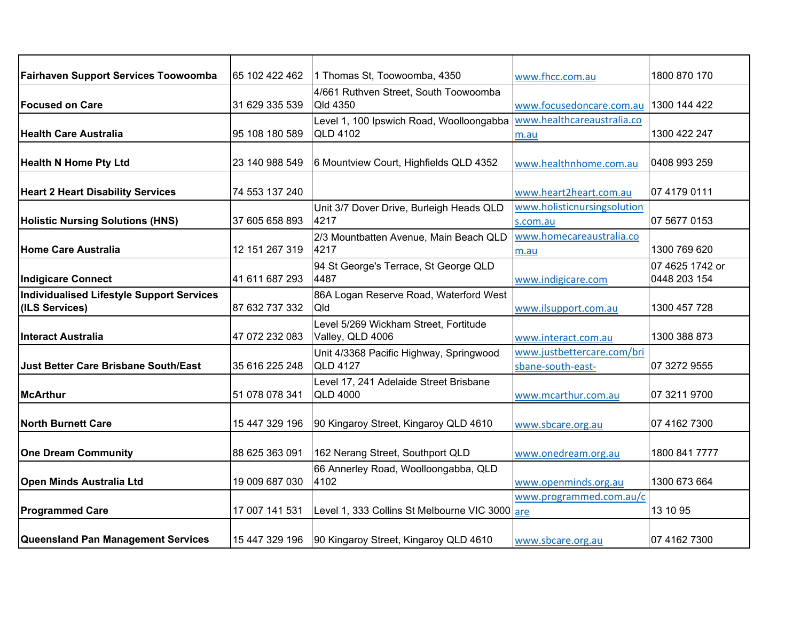| <b>Fairhaven Support Services Toowoomba</b> | 65 102 422 462 | 1 Thomas St, Toowoomba, 4350                              | www.fhcc.com.au             | 1800 870 170    |
|---------------------------------------------|----------------|-----------------------------------------------------------|-----------------------------|-----------------|
|                                             |                | 4/661 Ruthven Street, South Toowoomba                     |                             |                 |
| <b>Focused on Care</b>                      | 31 629 335 539 | Qld 4350                                                  | www.focusedoncare.com.au    | 1300 144 422    |
|                                             |                | Level 1, 100 Ipswich Road, Woolloongabba                  | www.healthcareaustralia.co  |                 |
| <b>Health Care Australia</b>                | 95 108 180 589 | <b>QLD 4102</b>                                           | m.au                        | 1300 422 247    |
|                                             |                |                                                           |                             |                 |
| <b>Health N Home Pty Ltd</b>                | 23 140 988 549 | 6 Mountview Court, Highfields QLD 4352                    | www.healthnhome.com.au      | 0408 993 259    |
| <b>Heart 2 Heart Disability Services</b>    | 74 553 137 240 |                                                           | www.heart2heart.com.au      | 07 4179 0111    |
|                                             |                | Unit 3/7 Dover Drive, Burleigh Heads QLD                  | www.holisticnursingsolution |                 |
| <b>Holistic Nursing Solutions (HNS)</b>     | 37 605 658 893 | 4217                                                      | s.com.au                    | 07 5677 0153    |
|                                             |                | 2/3 Mountbatten Avenue, Main Beach QLD                    | www.homecareaustralia.co    |                 |
| Home Care Australia                         | 12 151 267 319 | 4217                                                      | m.au                        | 1300 769 620    |
|                                             |                | 94 St George's Terrace, St George QLD                     |                             | 07 4625 1742 or |
| Indigicare Connect                          | 41 611 687 293 | 4487                                                      | www.indigicare.com          | 0448 203 154    |
| Individualised Lifestyle Support Services   |                | 86A Logan Reserve Road, Waterford West                    |                             |                 |
| (ILS Services)                              | 87 632 737 332 | Qld                                                       | www.ilsupport.com.au        | 1300 457 728    |
|                                             |                | Level 5/269 Wickham Street, Fortitude                     |                             |                 |
| <b>Interact Australia</b>                   | 47 072 232 083 | Valley, QLD 4006                                          | www.interact.com.au         | 1300 388 873    |
|                                             |                | Unit 4/3368 Pacific Highway, Springwood                   | www.justbettercare.com/bri  |                 |
| <b>Just Better Care Brisbane South/East</b> | 35 616 225 248 | <b>QLD 4127</b>                                           | sbane-south-east-           | 07 3272 9555    |
| <b>McArthur</b>                             | 51 078 078 341 | Level 17, 241 Adelaide Street Brisbane<br><b>QLD 4000</b> | www.mcarthur.com.au         | 07 3211 9700    |
|                                             |                |                                                           |                             |                 |
| North Burnett Care                          | 15 447 329 196 | 90 Kingaroy Street, Kingaroy QLD 4610                     | www.sbcare.org.au           | 07 4162 7300    |
|                                             |                |                                                           |                             |                 |
| <b>One Dream Community</b>                  | 88 625 363 091 | 162 Nerang Street, Southport QLD                          | www.onedream.org.au         | 1800 841 7777   |
|                                             |                | 66 Annerley Road, Woolloongabba, QLD                      |                             |                 |
| <b>Open Minds Australia Ltd</b>             | 19 009 687 030 | 4102                                                      | www.openminds.org.au        | 1300 673 664    |
|                                             |                |                                                           | www.programmed.com.au/c     |                 |
| <b>Programmed Care</b>                      | 17 007 141 531 | Level 1, 333 Collins St Melbourne VIC 3000 are            |                             | 13 10 95        |
|                                             |                |                                                           |                             |                 |
| <b>Queensland Pan Management Services</b>   | 15 447 329 196 | 90 Kingaroy Street, Kingaroy QLD 4610                     | www.sbcare.org.au           | 07 4162 7300    |